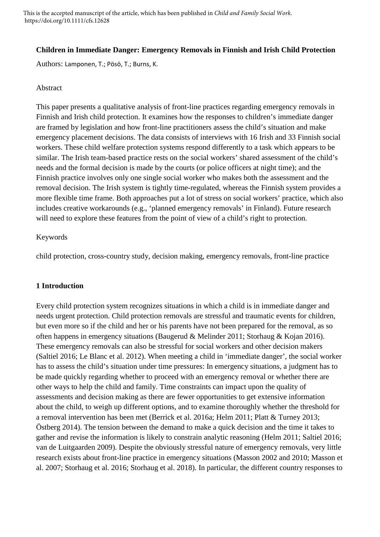This is the accepted manuscript of the article, which has been published in *Child and Family Social Work*. https://doi.org/10.1111/cfs.12628

## **Children in Immediate Danger: Emergency Removals in Finnish and Irish Child Protection**

Authors: Lamponen, T.; Pösö, T.; Burns, K.

#### Abstract

This paper presents a qualitative analysis of front-line practices regarding emergency removals in Finnish and Irish child protection. It examines how the responses to children's immediate danger are framed by legislation and how front-line practitioners assess the child's situation and make emergency placement decisions. The data consists of interviews with 16 Irish and 33 Finnish social workers. These child welfare protection systems respond differently to a task which appears to be similar. The Irish team-based practice rests on the social workers' shared assessment of the child's needs and the formal decision is made by the courts (or police officers at night time); and the Finnish practice involves only one single social worker who makes both the assessment and the removal decision. The Irish system is tightly time-regulated, whereas the Finnish system provides a more flexible time frame. Both approaches put a lot of stress on social workers' practice, which also includes creative workarounds (e.g., 'planned emergency removals' in Finland). Future research will need to explore these features from the point of view of a child's right to protection.

### Keywords

child protection, cross-country study, decision making, emergency removals, front-line practice

### **1 Introduction**

Every child protection system recognizes situations in which a child is in immediate danger and needs urgent protection. Child protection removals are stressful and traumatic events for children, but even more so if the child and her or his parents have not been prepared for the removal, as so often happens in emergency situations (Baugerud & Melinder 2011; Storhaug & Kojan 2016). These emergency removals can also be stressful for social workers and other decision makers (Saltiel 2016; Le Blanc et al. 2012). When meeting a child in 'immediate danger', the social worker has to assess the child's situation under time pressures: In emergency situations, a judgment has to be made quickly regarding whether to proceed with an emergency removal or whether there are other ways to help the child and family. Time constraints can impact upon the quality of assessments and decision making as there are fewer opportunities to get extensive information about the child, to weigh up different options, and to examine thoroughly whether the threshold for a removal intervention has been met (Berrick et al. 2016a; Helm 2011; Platt & Turney 2013; Östberg 2014). The tension between the demand to make a quick decision and the time it takes to gather and revise the information is likely to constrain analytic reasoning (Helm 2011; Saltiel 2016; van de Luitgaarden 2009). Despite the obviously stressful nature of emergency removals, very little research exists about front-line practice in emergency situations (Masson 2002 and 2010; Masson et al. 2007; Storhaug et al. 2016; Storhaug et al. 2018). In particular, the different country responses to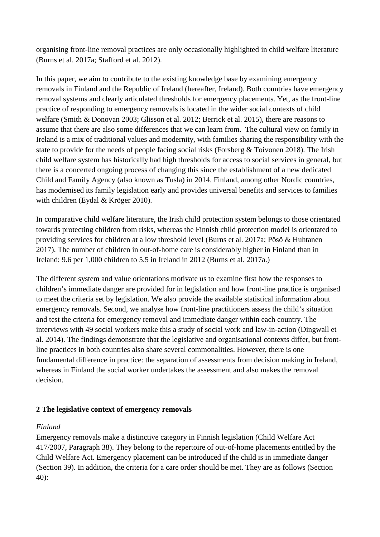organising front-line removal practices are only occasionally highlighted in child welfare literature (Burns et al. 2017a; Stafford et al. 2012).

In this paper, we aim to contribute to the existing knowledge base by examining emergency removals in Finland and the Republic of Ireland (hereafter, Ireland). Both countries have emergency removal systems and clearly articulated thresholds for emergency placements. Yet, as the front-line practice of responding to emergency removals is located in the wider social contexts of child welfare (Smith & Donovan 2003; Glisson et al. 2012; Berrick et al. 2015), there are reasons to assume that there are also some differences that we can learn from. The cultural view on family in Ireland is a mix of traditional values and modernity, with families sharing the responsibility with the state to provide for the needs of people facing social risks (Forsberg & Toivonen 2018). The Irish child welfare system has historically had high thresholds for access to social services in general, but there is a concerted ongoing process of changing this since the establishment of a new dedicated Child and Family Agency (also known as Tusla) in 2014. Finland, among other Nordic countries, has modernised its family legislation early and provides universal benefits and services to families with children (Eydal & Kröger 2010).

In comparative child welfare literature, the Irish child protection system belongs to those orientated towards protecting children from risks, whereas the Finnish child protection model is orientated to providing services for children at a low threshold level (Burns et al. 2017a; Pösö & Huhtanen 2017). The number of children in out-of-home care is considerably higher in Finland than in Ireland: 9.6 per 1,000 children to 5.5 in Ireland in 2012 (Burns et al. 2017a.)

The different system and value orientations motivate us to examine first how the responses to children's immediate danger are provided for in legislation and how front-line practice is organised to meet the criteria set by legislation. We also provide the available statistical information about emergency removals. Second, we analyse how front-line practitioners assess the child's situation and test the criteria for emergency removal and immediate danger within each country. The interviews with 49 social workers make this a study of social work and law-in-action (Dingwall et al. 2014). The findings demonstrate that the legislative and organisational contexts differ, but frontline practices in both countries also share several commonalities. However, there is one fundamental difference in practice: the separation of assessments from decision making in Ireland, whereas in Finland the social worker undertakes the assessment and also makes the removal decision.

# **2 The legislative context of emergency removals**

# *Finland*

Emergency removals make a distinctive category in Finnish legislation (Child Welfare Act 417/2007, Paragraph 38). They belong to the repertoire of out-of-home placements entitled by the Child Welfare Act. Emergency placement can be introduced if the child is in immediate danger (Section 39). In addition, the criteria for a care order should be met. They are as follows (Section 40):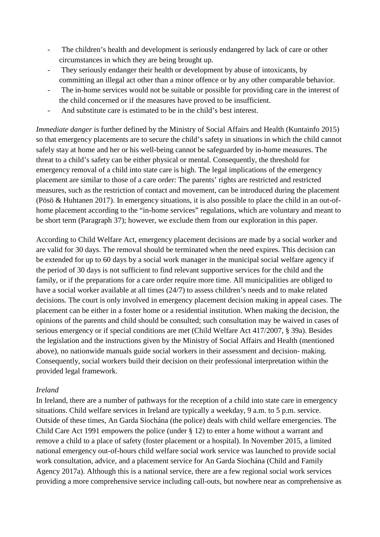- The children's health and development is seriously endangered by lack of care or other circumstances in which they are being brought up.
- They seriously endanger their health or development by abuse of intoxicants, by committing an illegal act other than a minor offence or by any other comparable behavior.
- The in-home services would not be suitable or possible for providing care in the interest of the child concerned or if the measures have proved to be insufficient.
- And substitute care is estimated to be in the child's best interest.

*Immediate danger* is further defined by the Ministry of Social Affairs and Health (Kuntainfo 2015) so that emergency placements are to secure the child's safety in situations in which the child cannot safely stay at home and her or his well-being cannot be safeguarded by in-home measures. The threat to a child's safety can be either physical or mental. Consequently, the threshold for emergency removal of a child into state care is high. The legal implications of the emergency placement are similar to those of a care order: The parents' rights are restricted and restricted measures, such as the restriction of contact and movement, can be introduced during the placement (Pösö & Huhtanen 2017). In emergency situations, it is also possible to place the child in an out-ofhome placement according to the "in-home services" regulations, which are voluntary and meant to be short term (Paragraph 37); however, we exclude them from our exploration in this paper.

According to Child Welfare Act, emergency placement decisions are made by a social worker and are valid for 30 days. The removal should be terminated when the need expires. This decision can be extended for up to 60 days by a social work manager in the municipal social welfare agency if the period of 30 days is not sufficient to find relevant supportive services for the child and the family, or if the preparations for a care order require more time. All municipalities are obliged to have a social worker available at all times (24/7) to assess children's needs and to make related decisions. The court is only involved in emergency placement decision making in appeal cases. The placement can be either in a foster home or a residential institution. When making the decision, the opinions of the parents and child should be consulted; such consultation may be waived in cases of serious emergency or if special conditions are met (Child Welfare Act 417/2007, § 39a). Besides the legislation and the instructions given by the Ministry of Social Affairs and Health (mentioned above), no nationwide manuals guide social workers in their assessment and decision- making. Consequently, social workers build their decision on their professional interpretation within the provided legal framework.

### *Ireland*

In Ireland, there are a number of pathways for the reception of a child into state care in emergency situations. Child welfare services in Ireland are typically a weekday, 9 a.m. to 5 p.m. service. Outside of these times, An Garda Síochána (the police) deals with child welfare emergencies. The Child Care Act 1991 empowers the police (under § 12) to enter a home without a warrant and remove a child to a place of safety (foster placement or a hospital). In November 2015, a limited national emergency out-of-hours child welfare social work service was launched to provide social work consultation, advice, and a placement service for An Garda Síochána (Child and Family Agency 2017a). Although this is a national service, there are a few regional social work services providing a more comprehensive service including call-outs, but nowhere near as comprehensive as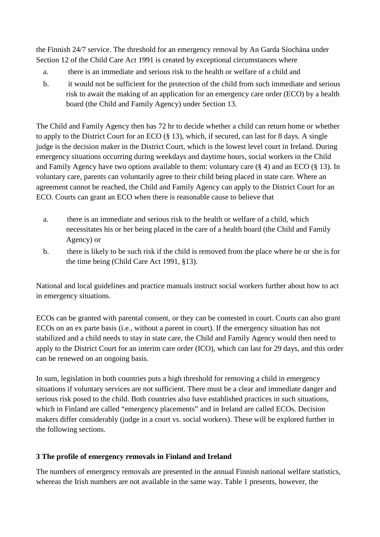the Finnish 24/7 service. The threshold for an emergency removal by An Garda Síochána under Section 12 of the Child Care Act 1991 is created by exceptional circumstances where

- a. there is an immediate and serious risk to the health or welfare of a child and
- b. it would not be sufficient for the protection of the child from such immediate and serious risk to await the making of an application for an emergency care order (ECO) by a health board (the Child and Family Agency) under Section 13.

The Child and Family Agency then has 72 hr to decide whether a child can return home or whether to apply to the District Court for an ECO (§ 13), which, if secured, can last for 8 days. A single judge is the decision maker in the District Court, which is the lowest level court in Ireland. During emergency situations occurring during weekdays and daytime hours, social workers in the Child and Family Agency have two options available to them: voluntary care  $(\S 4)$  and an ECO  $(\S 13)$ . In voluntary care, parents can voluntarily agree to their child being placed in state care. Where an agreement cannot be reached, the Child and Family Agency can apply to the District Court for an ECO. Courts can grant an ECO when there is reasonable cause to believe that

- a. there is an immediate and serious risk to the health or welfare of a child, which necessitates his or her being placed in the care of a health board (the Child and Family Agency) or
- b. there is likely to be such risk if the child is removed from the place where he or she is for the time being (Child Care Act 1991, §13).

National and local guidelines and practice manuals instruct social workers further about how to act in emergency situations.

ECOs can be granted with parental consent, or they can be contested in court. Courts can also grant ECOs on an ex parte basis (i.e., without a parent in court). If the emergency situation has not stabilized and a child needs to stay in state care, the Child and Family Agency would then need to apply to the District Court for an interim care order (ICO), which can last for 29 days, and this order can be renewed on an ongoing basis.

In sum, legislation in both countries puts a high threshold for removing a child in emergency situations if voluntary services are not sufficient. There must be a clear and immediate danger and serious risk posed to the child. Both countries also have established practices in such situations, which in Finland are called "emergency placements" and in Ireland are called ECOs. Decision makers differ considerably (judge in a court vs. social workers). These will be explored further in the following sections.

# **3 The profile of emergency removals in Finland and Ireland**

The numbers of emergency removals are presented in the annual Finnish national welfare statistics, whereas the Irish numbers are not available in the same way. Table 1 presents, however, the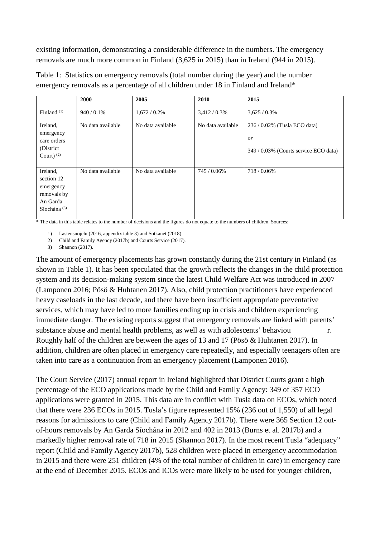existing information, demonstrating a considerable difference in the numbers. The emergency removals are much more common in Finland (3,625 in 2015) than in Ireland (944 in 2015).

|                                                                                  | 2000              | 2005              | 2010              | 2015                                                                           |
|----------------------------------------------------------------------------------|-------------------|-------------------|-------------------|--------------------------------------------------------------------------------|
| Finland $(1)$                                                                    | 940/0.1%          | $1,672/0.2\%$     | 3,412/0.3%        | 3,625/0.3%                                                                     |
| Ireland,<br>emergency<br>care orders<br>(District)<br>Court) $(2)$               | No data available | No data available | No data available | 236/0.02% (Tusla ECO data)<br><i>or</i><br>349/0.03% (Courts service ECO data) |
| Ireland,<br>section 12<br>emergency<br>removals by<br>An Garda<br>Síochána $(3)$ | No data available | No data available | 745 / 0.06%       | 718/0.06%                                                                      |

Table 1: Statistics on emergency removals (total number during the year) and the number emergency removals as a percentage of all children under 18 in Finland and Ireland\*

\* The data in this table relates to the number of decisions and the figures do not equate to the numbers of children. Sources:

1) Lastensuojelu (2016, appendix table 3) and Sotkanet (2018).

2) Child and Family Agency (2017b) and Courts Service (2017).

3) Shannon (2017).

The amount of emergency placements has grown constantly during the 21st century in Finland (as shown in Table 1). It has been speculated that the growth reflects the changes in the child protection system and its decision-making system since the latest Child Welfare Act was introduced in 2007 (Lamponen 2016; Pösö & Huhtanen 2017). Also, child protection practitioners have experienced heavy caseloads in the last decade, and there have been insufficient appropriate preventative services, which may have led to more families ending up in crisis and children experiencing immediate danger. The existing reports suggest that emergency removals are linked with parents' substance abuse and mental health problems, as well as with adolescents' behaviou r. Roughly half of the children are between the ages of 13 and 17 (Pösö & Huhtanen 2017). In addition, children are often placed in emergency care repeatedly, and especially teenagers often are taken into care as a continuation from an emergency placement (Lamponen 2016).

The Court Service (2017) annual report in Ireland highlighted that District Courts grant a high percentage of the ECO applications made by the Child and Family Agency: 349 of 357 ECO applications were granted in 2015. This data are in conflict with Tusla data on ECOs, which noted that there were 236 ECOs in 2015. Tusla's figure represented 15% (236 out of 1,550) of all legal reasons for admissions to care (Child and Family Agency 2017b). There were 365 Section 12 outof-hours removals by An Garda Síochána in 2012 and 402 in 2013 (Burns et al. 2017b) and a markedly higher removal rate of 718 in 2015 (Shannon 2017). In the most recent Tusla "adequacy" report (Child and Family Agency 2017b), 528 children were placed in emergency accommodation in 2015 and there were 251 children (4% of the total number of children in care) in emergency care at the end of December 2015. ECOs and ICOs were more likely to be used for younger children,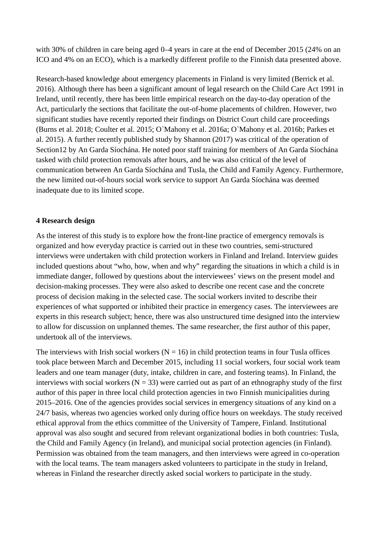with 30% of children in care being aged 0–4 years in care at the end of December 2015 (24% on an ICO and 4% on an ECO), which is a markedly different profile to the Finnish data presented above.

Research-based knowledge about emergency placements in Finland is very limited (Berrick et al. 2016). Although there has been a significant amount of legal research on the Child Care Act 1991 in Ireland, until recently, there has been little empirical research on the day-to-day operation of the Act, particularly the sections that facilitate the out-of-home placements of children. However, two significant studies have recently reported their findings on District Court child care proceedings (Burns et al. 2018; Coulter et al. 2015; O`Mahony et al. 2016a; O`Mahony et al. 2016b; Parkes et al. 2015). A further recently published study by Shannon (2017) was critical of the operation of Section12 by An Garda Síochána. He noted poor staff training for members of An Garda Síochána tasked with child protection removals after hours, and he was also critical of the level of communication between An Garda Síochána and Tusla, the Child and Family Agency. Furthermore, the new limited out-of-hours social work service to support An Garda Síochána was deemed inadequate due to its limited scope.

### **4 Research design**

As the interest of this study is to explore how the front-line practice of emergency removals is organized and how everyday practice is carried out in these two countries, semi-structured interviews were undertaken with child protection workers in Finland and Ireland. Interview guides included questions about "who, how, when and why" regarding the situations in which a child is in immediate danger, followed by questions about the interviewees' views on the present model and decision-making processes. They were also asked to describe one recent case and the concrete process of decision making in the selected case. The social workers invited to describe their experiences of what supported or inhibited their practice in emergency cases. The interviewees are experts in this research subject; hence, there was also unstructured time designed into the interview to allow for discussion on unplanned themes. The same researcher, the first author of this paper, undertook all of the interviews.

The interviews with Irish social workers  $(N = 16)$  in child protection teams in four Tusla offices took place between March and December 2015, including 11 social workers, four social work team leaders and one team manager (duty, intake, children in care, and fostering teams). In Finland, the interviews with social workers ( $N = 33$ ) were carried out as part of an ethnography study of the first author of this paper in three local child protection agencies in two Finnish municipalities during 2015–2016. One of the agencies provides social services in emergency situations of any kind on a 24/7 basis, whereas two agencies worked only during office hours on weekdays. The study received ethical approval from the ethics committee of the University of Tampere, Finland. Institutional approval was also sought and secured from relevant organizational bodies in both countries: Tusla, the Child and Family Agency (in Ireland), and municipal social protection agencies (in Finland). Permission was obtained from the team managers, and then interviews were agreed in co-operation with the local teams. The team managers asked volunteers to participate in the study in Ireland, whereas in Finland the researcher directly asked social workers to participate in the study.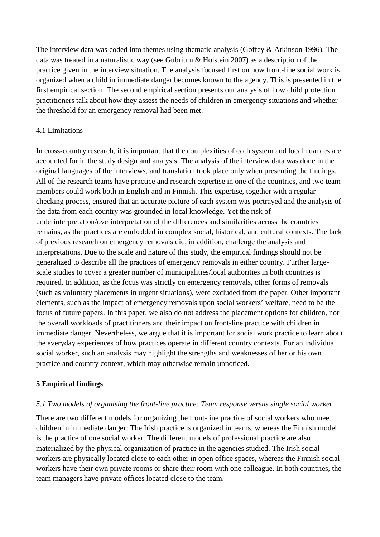The interview data was coded into themes using thematic analysis (Goffey & Atkinson 1996). The data was treated in a naturalistic way (see Gubrium & Holstein 2007) as a description of the practice given in the interview situation. The analysis focused first on how front-line social work is organized when a child in immediate danger becomes known to the agency. This is presented in the first empirical section. The second empirical section presents our analysis of how child protection practitioners talk about how they assess the needs of children in emergency situations and whether the threshold for an emergency removal had been met.

# 4.1 Limitations

In cross-country research, it is important that the complexities of each system and local nuances are accounted for in the study design and analysis. The analysis of the interview data was done in the original languages of the interviews, and translation took place only when presenting the findings. All of the research teams have practice and research expertise in one of the countries, and two team members could work both in English and in Finnish. This expertise, together with a regular checking process, ensured that an accurate picture of each system was portrayed and the analysis of the data from each country was grounded in local knowledge. Yet the risk of underinterpretation/overinterpretation of the differences and similarities across the countries remains, as the practices are embedded in complex social, historical, and cultural contexts. The lack of previous research on emergency removals did, in addition, challenge the analysis and interpretations. Due to the scale and nature of this study, the empirical findings should not be generalized to describe all the practices of emergency removals in either country. Further largescale studies to cover a greater number of municipalities/local authorities in both countries is required. In addition, as the focus was strictly on emergency removals, other forms of removals (such as voluntary placements in urgent situations), were excluded from the paper. Other important elements, such as the impact of emergency removals upon social workers' welfare, need to be the focus of future papers. In this paper, we also do not address the placement options for children, nor the overall workloads of practitioners and their impact on front-line practice with children in immediate danger. Nevertheless, we argue that it is important for social work practice to learn about the everyday experiences of how practices operate in different country contexts. For an individual social worker, such an analysis may highlight the strengths and weaknesses of her or his own practice and country context, which may otherwise remain unnoticed.

# **5 Empirical findings**

# *5.1 Two models of organising the front-line practice: Team response versus single social worker*

There are two different models for organizing the front-line practice of social workers who meet children in immediate danger: The Irish practice is organized in teams, whereas the Finnish model is the practice of one social worker. The different models of professional practice are also materialized by the physical organization of practice in the agencies studied. The Irish social workers are physically located close to each other in open office spaces, whereas the Finnish social workers have their own private rooms or share their room with one colleague. In both countries, the team managers have private offices located close to the team.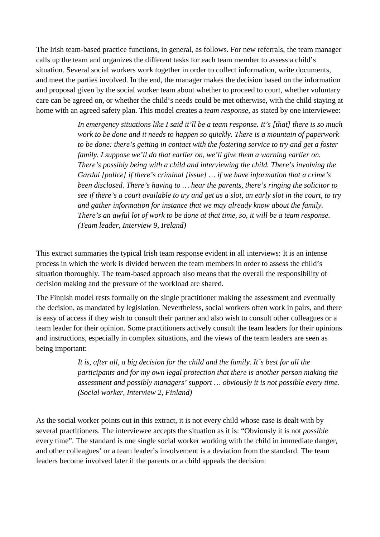The Irish team-based practice functions, in general, as follows. For new referrals, the team manager calls up the team and organizes the different tasks for each team member to assess a child's situation. Several social workers work together in order to collect information, write documents, and meet the parties involved. In the end, the manager makes the decision based on the information and proposal given by the social worker team about whether to proceed to court, whether voluntary care can be agreed on, or whether the child's needs could be met otherwise, with the child staying at home with an agreed safety plan. This model creates a *team response,* as stated by one interviewee:

> *In emergency situations like I said it'll be a team response. It's [that] there is so much work to be done and it needs to happen so quickly. There is a mountain of paperwork to be done: there's getting in contact with the fostering service to try and get a foster family. I suppose we'll do that earlier on, we'll give them a warning earlier on. There's possibly being with a child and interviewing the child. There's involving the Gardaí [police] if there's criminal [issue] … if we have information that a crime's been disclosed. There's having to … hear the parents, there's ringing the solicitor to see if there's a court available to try and get us a slot, an early slot in the court, to try and gather information for instance that we may already know about the family. There's an awful lot of work to be done at that time, so, it will be a team response. (Team leader, Interview 9, Ireland)*

This extract summaries the typical Irish team response evident in all interviews: It is an intense process in which the work is divided between the team members in order to assess the child's situation thoroughly. The team-based approach also means that the overall the responsibility of decision making and the pressure of the workload are shared.

The Finnish model rests formally on the single practitioner making the assessment and eventually the decision, as mandated by legislation. Nevertheless, social workers often work in pairs, and there is easy of access if they wish to consult their partner and also wish to consult other colleagues or a team leader for their opinion. Some practitioners actively consult the team leaders for their opinions and instructions, especially in complex situations, and the views of the team leaders are seen as being important:

> *It is, after all, a big decision for the child and the family. It´s best for all the participants and for my own legal protection that there is another person making the assessment and possibly managers' support … obviously it is not possible every time. (Social worker, Interview 2, Finland)*

As the social worker points out in this extract, it is not every child whose case is dealt with by several practitioners. The interviewee accepts the situation as it is: "Obviously it is not *possible*  every time". The standard is one single social worker working with the child in immediate danger, and other colleagues' or a team leader's involvement is a deviation from the standard. The team leaders become involved later if the parents or a child appeals the decision: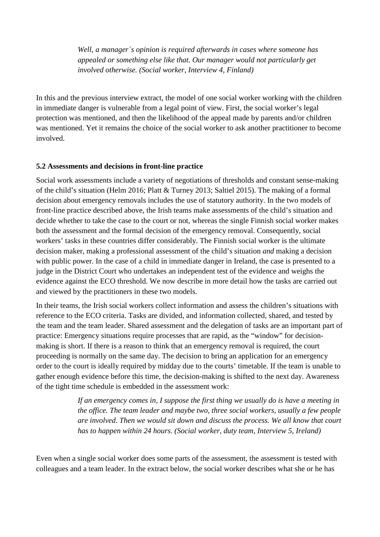*Well, a manager´s opinion is required afterwards in cases where someone has appealed or something else like that. Our manager would not particularly get involved otherwise. (Social worker, Interview 4, Finland)*

In this and the previous interview extract, the model of one social worker working with the children in immediate danger is vulnerable from a legal point of view. First, the social worker's legal protection was mentioned, and then the likelihood of the appeal made by parents and/or children was mentioned. Yet it remains the choice of the social worker to ask another practitioner to become involved.

# **5.2 Assessments and decisions in front-line practice**

Social work assessments include a variety of negotiations of thresholds and constant sense-making of the child's situation (Helm 2016; Platt & Turney 2013; Saltiel 2015). The making of a formal decision about emergency removals includes the use of statutory authority. In the two models of front-line practice described above, the Irish teams make assessments of the child's situation and decide whether to take the case to the court or not, whereas the single Finnish social worker makes both the assessment and the formal decision of the emergency removal. Consequently, social workers' tasks in these countries differ considerably. The Finnish social worker is the ultimate decision maker, making a professional assessment of the child's situation *and* making a decision with public power. In the case of a child in immediate danger in Ireland, the case is presented to a judge in the District Court who undertakes an independent test of the evidence and weighs the evidence against the ECO threshold. We now describe in more detail how the tasks are carried out and viewed by the practitioners in these two models.

In their teams, the Irish social workers collect information and assess the children's situations with reference to the ECO criteria. Tasks are divided, and information collected, shared, and tested by the team and the team leader. Shared assessment and the delegation of tasks are an important part of practice: Emergency situations require processes that are rapid, as the "window" for decisionmaking is short. If there is a reason to think that an emergency removal is required, the court proceeding is normally on the same day. The decision to bring an application for an emergency order to the court is ideally required by midday due to the courts' timetable. If the team is unable to gather enough evidence before this time, the decision-making is shifted to the next day. Awareness of the tight time schedule is embedded in the assessment work:

> *If an emergency comes in, I suppose the first thing we usually do is have a meeting in the office. The team leader and maybe two, three social workers, usually a few people are involved. Then we would sit down and discuss the process. We all know that court has to happen within 24 hours. (Social worker, duty team, Interview 5, Ireland)*

Even when a single social worker does some parts of the assessment, the assessment is tested with colleagues and a team leader. In the extract below, the social worker describes what she or he has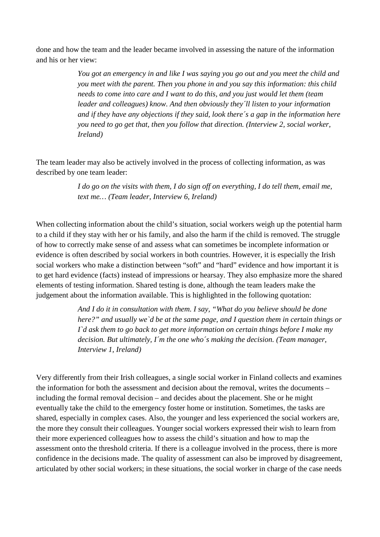done and how the team and the leader became involved in assessing the nature of the information and his or her view:

> *You got an emergency in and like I was saying you go out and you meet the child and you meet with the parent. Then you phone in and you say this information: this child needs to come into care and I want to do this, and you just would let them (team leader and colleagues) know. And then obviously they´ll listen to your information and if they have any objections if they said, look there´s a gap in the information here you need to go get that, then you follow that direction. (Interview 2, social worker, Ireland)*

The team leader may also be actively involved in the process of collecting information, as was described by one team leader:

> *I do go on the visits with them, I do sign off on everything, I do tell them, email me, text me… (Team leader, Interview 6, Ireland)*

When collecting information about the child's situation, social workers weigh up the potential harm to a child if they stay with her or his family, and also the harm if the child is removed. The struggle of how to correctly make sense of and assess what can sometimes be incomplete information or evidence is often described by social workers in both countries. However, it is especially the Irish social workers who make a distinction between "soft" and "hard" evidence and how important it is to get hard evidence (facts) instead of impressions or hearsay. They also emphasize more the shared elements of testing information. Shared testing is done, although the team leaders make the judgement about the information available. This is highlighted in the following quotation:

> *And I do it in consultation with them. I say, "What do you believe should be done here?" and usually we`d be at the same page, and I question them in certain things or I`d ask them to go back to get more information on certain things before I make my decision. But ultimately, I´m the one who´s making the decision. (Team manager, Interview 1, Ireland)*

Very differently from their Irish colleagues, a single social worker in Finland collects and examines the information for both the assessment and decision about the removal, writes the documents – including the formal removal decision – and decides about the placement. She or he might eventually take the child to the emergency foster home or institution. Sometimes, the tasks are shared, especially in complex cases. Also, the younger and less experienced the social workers are, the more they consult their colleagues. Younger social workers expressed their wish to learn from their more experienced colleagues how to assess the child's situation and how to map the assessment onto the threshold criteria. If there is a colleague involved in the process, there is more confidence in the decisions made. The quality of assessment can also be improved by disagreement, articulated by other social workers; in these situations, the social worker in charge of the case needs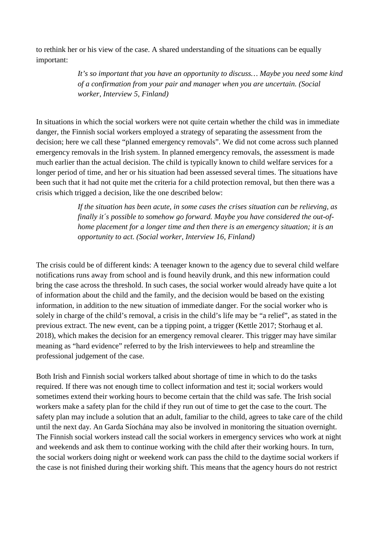to rethink her or his view of the case. A shared understanding of the situations can be equally important:

> *It's so important that you have an opportunity to discuss… Maybe you need some kind of a confirmation from your pair and manager when you are uncertain. (Social worker, Interview 5, Finland)*

In situations in which the social workers were not quite certain whether the child was in immediate danger, the Finnish social workers employed a strategy of separating the assessment from the decision; here we call these "planned emergency removals". We did not come across such planned emergency removals in the Irish system. In planned emergency removals, the assessment is made much earlier than the actual decision. The child is typically known to child welfare services for a longer period of time, and her or his situation had been assessed several times. The situations have been such that it had not quite met the criteria for a child protection removal, but then there was a crisis which trigged a decision, like the one described below:

> *If the situation has been acute, in some cases the crises situation can be relieving, as finally it´s possible to somehow go forward. Maybe you have considered the out-ofhome placement for a longer time and then there is an emergency situation; it is an opportunity to act. (Social worker, Interview 16, Finland)*

The crisis could be of different kinds: A teenager known to the agency due to several child welfare notifications runs away from school and is found heavily drunk, and this new information could bring the case across the threshold. In such cases, the social worker would already have quite a lot of information about the child and the family, and the decision would be based on the existing information, in addition to the new situation of immediate danger. For the social worker who is solely in charge of the child's removal, a crisis in the child's life may be "a relief", as stated in the previous extract. The new event, can be a tipping point, a trigger (Kettle 2017; Storhaug et al. 2018), which makes the decision for an emergency removal clearer. This trigger may have similar meaning as "hard evidence" referred to by the Irish interviewees to help and streamline the professional judgement of the case.

Both Irish and Finnish social workers talked about shortage of time in which to do the tasks required. If there was not enough time to collect information and test it; social workers would sometimes extend their working hours to become certain that the child was safe. The Irish social workers make a safety plan for the child if they run out of time to get the case to the court. The safety plan may include a solution that an adult, familiar to the child, agrees to take care of the child until the next day. An Garda Síochána may also be involved in monitoring the situation overnight. The Finnish social workers instead call the social workers in emergency services who work at night and weekends and ask them to continue working with the child after their working hours. In turn, the social workers doing night or weekend work can pass the child to the daytime social workers if the case is not finished during their working shift. This means that the agency hours do not restrict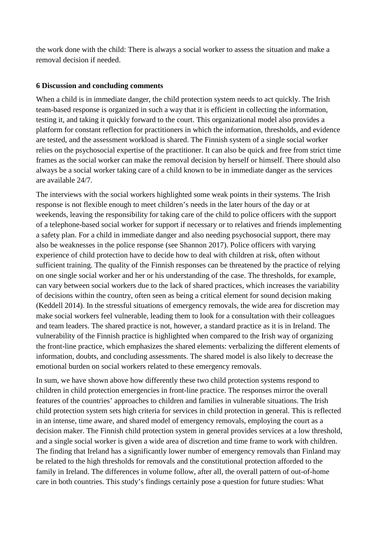the work done with the child: There is always a social worker to assess the situation and make a removal decision if needed.

## **6 Discussion and concluding comments**

When a child is in immediate danger, the child protection system needs to act quickly. The Irish team-based response is organized in such a way that it is efficient in collecting the information, testing it, and taking it quickly forward to the court. This organizational model also provides a platform for constant reflection for practitioners in which the information, thresholds, and evidence are tested, and the assessment workload is shared. The Finnish system of a single social worker relies on the psychosocial expertise of the practitioner. It can also be quick and free from strict time frames as the social worker can make the removal decision by herself or himself. There should also always be a social worker taking care of a child known to be in immediate danger as the services are available 24/7.

The interviews with the social workers highlighted some weak points in their systems. The Irish response is not flexible enough to meet children's needs in the later hours of the day or at weekends, leaving the responsibility for taking care of the child to police officers with the support of a telephone-based social worker for support if necessary or to relatives and friends implementing a safety plan. For a child in immediate danger and also needing psychosocial support, there may also be weaknesses in the police response (see Shannon 2017). Police officers with varying experience of child protection have to decide how to deal with children at risk, often without sufficient training. The quality of the Finnish responses can be threatened by the practice of relying on one single social worker and her or his understanding of the case. The thresholds, for example, can vary between social workers due to the lack of shared practices, which increases the variability of decisions within the country, often seen as being a critical element for sound decision making (Keddell 2014). In the stressful situations of emergency removals, the wide area for discretion may make social workers feel vulnerable, leading them to look for a consultation with their colleagues and team leaders. The shared practice is not, however, a standard practice as it is in Ireland. The vulnerability of the Finnish practice is highlighted when compared to the Irish way of organizing the front-line practice, which emphasizes the shared elements: verbalizing the different elements of information, doubts, and concluding assessments. The shared model is also likely to decrease the emotional burden on social workers related to these emergency removals.

In sum, we have shown above how differently these two child protection systems respond to children in child protection emergencies in front-line practice. The responses mirror the overall features of the countries' approaches to children and families in vulnerable situations. The Irish child protection system sets high criteria for services in child protection in general. This is reflected in an intense, time aware, and shared model of emergency removals, employing the court as a decision maker. The Finnish child protection system in general provides services at a low threshold, and a single social worker is given a wide area of discretion and time frame to work with children. The finding that Ireland has a significantly lower number of emergency removals than Finland may be related to the high thresholds for removals and the constitutional protection afforded to the family in Ireland. The differences in volume follow, after all, the overall pattern of out-of-home care in both countries. This study's findings certainly pose a question for future studies: What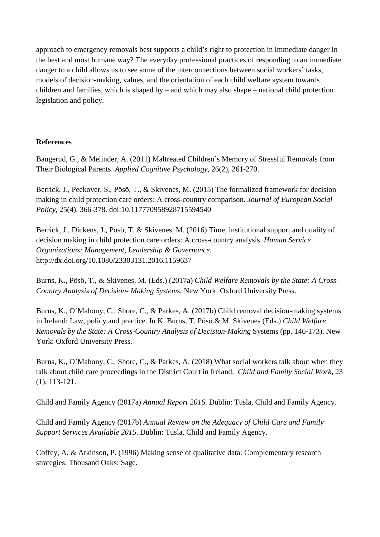approach to emergency removals best supports a child's right to protection in immediate danger in the best and most humane way? The everyday professional practices of responding to an immediate danger to a child allows us to see some of the interconnections between social workers' tasks, models of decision-making, values, and the orientation of each child welfare system towards children and families, which is shaped by – and which may also shape – national child protection legislation and policy.

# **References**

Baugerud, G., & Melinder, A. (2011) Maltreated Children`s Memory of Stressful Removals from Their Biological Parents. *Applied Cognitive Psychology,* 26(2), 261-270.

Berrick, J., Peckover, S., Pösö, T., & Skivenes, M. (2015) The formalized framework for decision making in child protection care orders: A cross-country comparison. *Journal of European Social Policy,* 25(4), 366-378. doi:10.117770958928715594540

Berrick, J., Dickens, J., Pösö, T. & Skivenes, M. (2016) Time, institutional support and quality of decision making in child protection care orders: A cross-country analysis. *Human Service Organizations: Management, Leadership & Governance.*  <http://dx.doi.org/10.1080/23303131.2016.1159637>

Burns, K., Pösö, T., & Skivenes, M. (Eds.) (2017a) *Child Welfare Removals by the State: A Cross-Country Analysis of Decision- Making Systems.* New York: Oxford University Press.

Burns, K., O`Mahony, C., Shore, C., & Parkes, A. (2017b) Child removal decision-making systems in Ireland: Law, policy and practice. In K. Burns, T. Pösö & M. Skivenes (Eds.) *Child Welfare Removals by the State: A Cross-Country Analysis of Decision-Making* Systems (pp. 146-173). New York: Oxford University Press.

Burns, K., O`Mahony, C., Shore, C., & Parkes, A. (2018) What social workers talk about when they talk about child care proceedings in the District Court in Ireland. *Child and Family Social Work,* 23 (1), 113-121.

Child and Family Agency (2017a) *Annual Report 2016*. Dublin: Tusla, Child and Family Agency.

Child and Family Agency (2017b) *Annual Review on the Adequacy of Child Care and Family Support Services Available 2015*. Dublin: Tusla, Child and Family Agency.

Coffey, A. & Atkinson, P. (1996) Making sense of qualitative data: Complementary research strategies. Thousand Oaks: Sage.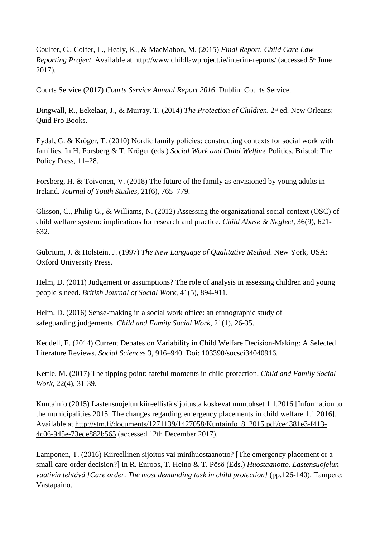Coulter, C., Colfer, L., Healy, K., & MacMahon, M. (2015) *Final Report. Child Care Law Reporting Project.* Available at <http://www.childlawproject.ie/interim-reports/> (accessed 5<sup>th</sup> June 2017).

Courts Service (2017) *Courts Service Annual Report 2016*. Dublin: Courts Service.

Dingwall, R., Eekelaar, J., & Murray, T. (2014) *The Protection of Children.* 2nd ed. New Orleans: Quid Pro Books.

Eydal, G. & Kröger, T. (2010) Nordic family policies: constructing contexts for social work with families. In H. Forsberg & T. Kröger (eds.) *Social Work and Child Welfare* Politics. Bristol: The Policy Press, 11–28.

Forsberg, H. & Toivonen, V. (2018) The future of the family as envisioned by young adults in Ireland. *Journal of Youth Studies*, 21(6), 765–779.

Glisson, C., Philip G., & Williams, N. (2012) Assessing the organizational social context (OSC) of child welfare system: implications for research and practice. *Child Abuse & Neglect*, 36(9), 621- 632.

Gubrium, J. & Holstein, J. (1997) *The New Language of Qualitative Method.* New York, USA: Oxford University Press.

Helm, D. (2011) Judgement or assumptions? The role of analysis in assessing children and young people`s need. *British Journal of Social Work*, 41(5), 894-911.

Helm, D. (2016) Sense-making in a social work office: an ethnographic study of safeguarding judgements. *Child and Family Social Work,* 21(1), 26-35.

Keddell, E. (2014) Current Debates on Variability in Child Welfare Decision-Making: A Selected Literature Reviews. *Social Sciences* 3, 916–940. Doi: 103390/socsci34040916.

Kettle, M. (2017) The tipping point: fateful moments in child protection. *Child and Family Social Work*, 22(4), 31-39.

Kuntainfo (2015) Lastensuojelun kiireellistä sijoitusta koskevat muutokset 1.1.2016 [Information to the municipalities 2015. The changes regarding emergency placements in child welfare 1.1.2016]. Available at [http://stm.fi/documents/1271139/1427058/Kuntainfo\\_8\\_2015.pdf/ce4381e3-f413-](http://stm.fi/documents/1271139/1427058/Kuntainfo_8_2015.pdf/ce4381e3-f413-4c06-945e-73ede882b565) [4c06-945e-73ede882b565](http://stm.fi/documents/1271139/1427058/Kuntainfo_8_2015.pdf/ce4381e3-f413-4c06-945e-73ede882b565) (accessed 12th December 2017).

Lamponen, T. (2016) Kiireellinen sijoitus vai minihuostaanotto? [The emergency placement or a small care-order decision?] In R. Enroos, T. Heino & T. Pösö (Eds.) *Huostaanotto. Lastensuojelun vaativin tehtävä [Care order. The most demanding task in child protection]* (pp.126-140). Tampere: Vastapaino.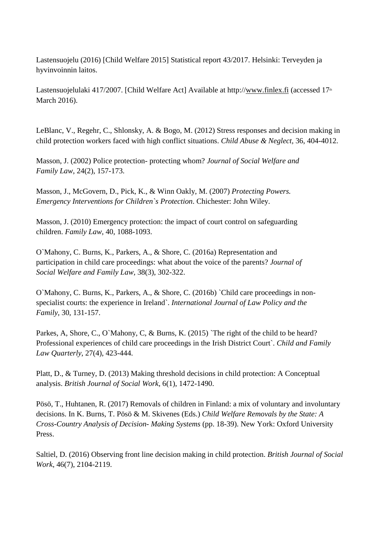Lastensuojelu (2016) [Child Welfare 2015] Statistical report 43/2017. Helsinki: Terveyden ja hyvinvoinnin laitos.

Lastensuojelulaki 417/2007. [Child Welfare Act] Available at http:/[/www.finlex.fi](http://www.finlex.fi/) (accessed 17<sup>th</sup> March 2016).

LeBlanc, V., Regehr, C., Shlonsky, A. & Bogo, M. (2012) Stress responses and decision making in child protection workers faced with high conflict situations. *Child Abuse & Neglect,* 36, 404-4012.

Masson, J. (2002) Police protection- protecting whom? *Journal of Social Welfare and Family Law*, 24(2), 157-173.

Masson, J., McGovern, D., Pick, K., & Winn Oakly, M. (2007) *Protecting Powers. Emergency Interventions for Children`s Protection*. Chichester: John Wiley.

Masson, J. (2010) Emergency protection: the impact of court control on safeguarding children. *Family Law*, 40, 1088-1093.

O`Mahony, C. Burns, K., Parkers, A., & Shore, C. (2016a) Representation and participation in child care proceedings: what about the voice of the parents? *Journal of Social Welfare and Family Law,* 38(3), 302-322.

O`Mahony, C. Burns, K., Parkers, A., & Shore, C. (2016b) `Child care proceedings in nonspecialist courts: the experience in Ireland`. *International Journal of Law Policy and the Family,* 30, 131-157.

Parkes, A, Shore, C., O`Mahony, C, & Burns, K. (2015) `The right of the child to be heard? Professional experiences of child care proceedings in the Irish District Court`. *Child and Family Law Quarterly*, 27(4), 423-444.

Platt, D., & Turney, D. (2013) Making threshold decisions in child protection: A Conceptual analysis. *British Journal of Social Work*, 6(1), 1472-1490.

Pösö, T., Huhtanen, R. (2017) Removals of children in Finland: a mix of voluntary and involuntary decisions. In K. Burns, T. Pösö & M. Skivenes (Eds.) *Child Welfare Removals by the State: A Cross-Country Analysis of Decision- Making Systems* (pp. 18-39). New York: Oxford University Press.

Saltiel, D. (2016) Observing front line decision making in child protection. *British Journal of Social Work*, 46(7), 2104-2119.